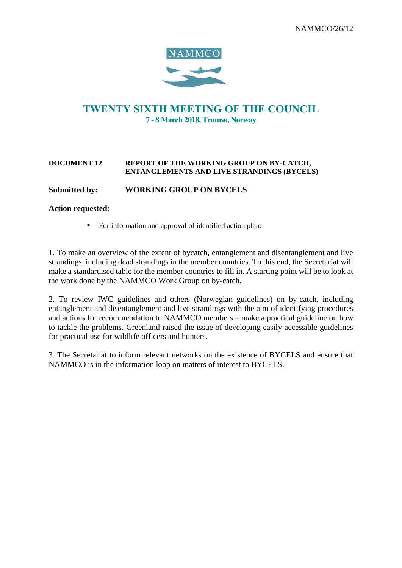

# TWENTY SIXTH MEETING OF THE COUNCIL 7 - 8 March 2018, Tromsø, Norway

#### **DOCUMENT 12 REPORT OF THE WORKING GROUP ON BY-CATCH, ENTANGLEMENTS AND LIVE STRANDINGS (BYCELS)**

### **Submitted by: WORKING GROUP ON BYCELS**

### **Action requested:**

■ For information and approval of identified action plan:

1. To make an overview of the extent of bycatch, entanglement and disentanglement and live strandings, including dead strandings in the member countries. To this end, the Secretariat will make a standardised table for the member countries to fill in. A starting point will be to look at the work done by the NAMMCO Work Group on by-catch.

2. To review IWC guidelines and others (Norwegian guidelines) on by-catch, including entanglement and disentanglement and live strandings with the aim of identifying procedures and actions for recommendation to NAMMCO members – make a practical guideline on how to tackle the problems. Greenland raised the issue of developing easily accessible guidelines for practical use for wildlife officers and hunters.

3. The Secretariat to inform relevant networks on the existence of BYCELS and ensure that NAMMCO is in the information loop on matters of interest to BYCELS.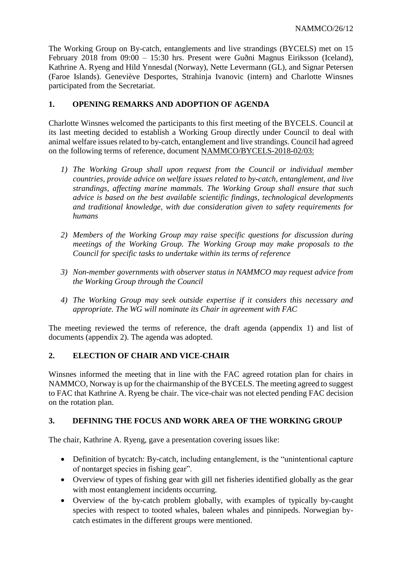The Working Group on By-catch, entanglements and live strandings (BYCELS) met on 15 February 2018 from 09:00 – 15:30 hrs. Present were Guðni Magnus Eiriksson (Iceland), Kathrine A. Ryeng and Hild Ynnesdal (Norway), Nette Levermann (GL), and Signar Petersen (Faroe Islands). Geneviève Desportes, Strahinja Ivanovic (intern) and Charlotte Winsnes participated from the Secretariat.

# **1. OPENING REMARKS AND ADOPTION OF AGENDA**

Charlotte Winsnes welcomed the participants to this first meeting of the BYCELS. Council at its last meeting decided to establish a Working Group directly under Council to deal with animal welfare issues related to by-catch, entanglement and live strandings. Council had agreed on the following terms of reference, document NAMMCO/BYCELS-2018-02/03:

- *1) The Working Group shall upon request from the Council or individual member countries, provide advice on welfare issues related to by-catch, entanglement, and live strandings, affecting marine mammals. The Working Group shall ensure that such advice is based on the best available scientific findings, technological developments and traditional knowledge, with due consideration given to safety requirements for humans*
- *2) Members of the Working Group may raise specific questions for discussion during meetings of the Working Group. The Working Group may make proposals to the Council for specific tasks to undertake within its terms of reference*
- *3) Non-member governments with observer status in NAMMCO may request advice from the Working Group through the Council*
- *4) The Working Group may seek outside expertise if it considers this necessary and appropriate. The WG will nominate its Chair in agreement with FAC*

The meeting reviewed the terms of reference, the draft agenda (appendix 1) and list of documents (appendix 2). The agenda was adopted.

### **2. ELECTION OF CHAIR AND VICE-CHAIR**

Winsnes informed the meeting that in line with the FAC agreed rotation plan for chairs in NAMMCO, Norway is up for the chairmanship of the BYCELS. The meeting agreed to suggest to FAC that Kathrine A. Ryeng be chair. The vice-chair was not elected pending FAC decision on the rotation plan.

### **3. DEFINING THE FOCUS AND WORK AREA OF THE WORKING GROUP**

The chair, Kathrine A. Ryeng, gave a presentation covering issues like:

- Definition of bycatch: By-catch, including entanglement, is the "unintentional capture" of nontarget species in fishing gear".
- Overview of types of fishing gear with gill net fisheries identified globally as the gear with most entanglement incidents occurring.
- Overview of the by-catch problem globally, with examples of typically by-caught species with respect to tooted whales, baleen whales and pinnipeds. Norwegian bycatch estimates in the different groups were mentioned.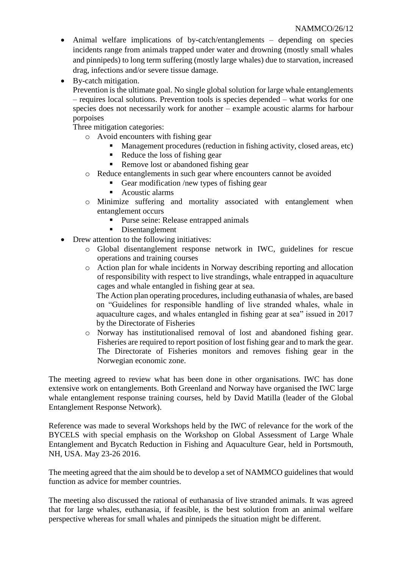- Animal welfare implications of by-catch/entanglements depending on species incidents range from animals trapped under water and drowning (mostly small whales and pinnipeds) to long term suffering (mostly large whales) due to starvation, increased drag, infections and/or severe tissue damage.
- By-catch mitigation.

Prevention is the ultimate goal. No single global solution for large whale entanglements – requires local solutions. Prevention tools is species depended – what works for one species does not necessarily work for another – example acoustic alarms for harbour porpoises

Three mitigation categories:

- o Avoid encounters with fishing gear
	- Management procedures (reduction in fishing activity, closed areas, etc)
	- Reduce the loss of fishing gear
	- Remove lost or abandoned fishing gear
- o Reduce entanglements in such gear where encounters cannot be avoided
	- Gear modification /new types of fishing gear
	- Acoustic alarms
- o Minimize suffering and mortality associated with entanglement when entanglement occurs
	- Purse seine: Release entrapped animals
	- Disentanglement
- Drew attention to the following initiatives:
	- o Global disentanglement response network in IWC, guidelines for rescue operations and training courses
	- o Action plan for whale incidents in Norway describing reporting and allocation of responsibility with respect to live strandings, whale entrapped in aquaculture cages and whale entangled in fishing gear at sea.

The Action plan operating procedures, including euthanasia of whales, are based on "Guidelines for responsible handling of live stranded whales, whale in aquaculture cages, and whales entangled in fishing gear at sea" issued in 2017 by the Directorate of Fisheries

o Norway has institutionalised removal of lost and abandoned fishing gear. Fisheries are required to report position of lost fishing gear and to mark the gear. The Directorate of Fisheries monitors and removes fishing gear in the Norwegian economic zone.

The meeting agreed to review what has been done in other organisations. IWC has done extensive work on entanglements. Both Greenland and Norway have organised the IWC large whale entanglement response training courses, held by David Matilla (leader of the Global Entanglement Response Network).

Reference was made to several Workshops held by the IWC of relevance for the work of the BYCELS with special emphasis on the Workshop on Global Assessment of Large Whale Entanglement and Bycatch Reduction in Fishing and Aquaculture Gear, held in Portsmouth, NH, USA. May 23-26 2016.

The meeting agreed that the aim should be to develop a set of NAMMCO guidelines that would function as advice for member countries.

The meeting also discussed the rational of euthanasia of live stranded animals. It was agreed that for large whales, euthanasia, if feasible, is the best solution from an animal welfare perspective whereas for small whales and pinnipeds the situation might be different.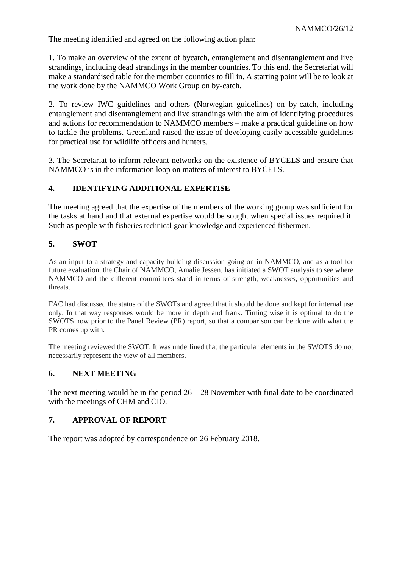The meeting identified and agreed on the following action plan:

1. To make an overview of the extent of bycatch, entanglement and disentanglement and live strandings, including dead strandings in the member countries. To this end, the Secretariat will make a standardised table for the member countries to fill in. A starting point will be to look at the work done by the NAMMCO Work Group on by-catch.

2. To review IWC guidelines and others (Norwegian guidelines) on by-catch, including entanglement and disentanglement and live strandings with the aim of identifying procedures and actions for recommendation to NAMMCO members – make a practical guideline on how to tackle the problems. Greenland raised the issue of developing easily accessible guidelines for practical use for wildlife officers and hunters.

3. The Secretariat to inform relevant networks on the existence of BYCELS and ensure that NAMMCO is in the information loop on matters of interest to BYCELS.

# **4. IDENTIFYING ADDITIONAL EXPERTISE**

The meeting agreed that the expertise of the members of the working group was sufficient for the tasks at hand and that external expertise would be sought when special issues required it. Such as people with fisheries technical gear knowledge and experienced fishermen.

# **5. SWOT**

As an input to a strategy and capacity building discussion going on in NAMMCO, and as a tool for future evaluation, the Chair of NAMMCO, Amalie Jessen, has initiated a SWOT analysis to see where NAMMCO and the different committees stand in terms of strength, weaknesses, opportunities and threats.

FAC had discussed the status of the SWOTs and agreed that it should be done and kept for internal use only. In that way responses would be more in depth and frank. Timing wise it is optimal to do the SWOTS now prior to the Panel Review (PR) report, so that a comparison can be done with what the PR comes up with.

The meeting reviewed the SWOT. It was underlined that the particular elements in the SWOTS do not necessarily represent the view of all members.

# **6. NEXT MEETING**

The next meeting would be in the period  $26 - 28$  November with final date to be coordinated with the meetings of CHM and CIO.

# **7. APPROVAL OF REPORT**

The report was adopted by correspondence on 26 February 2018.